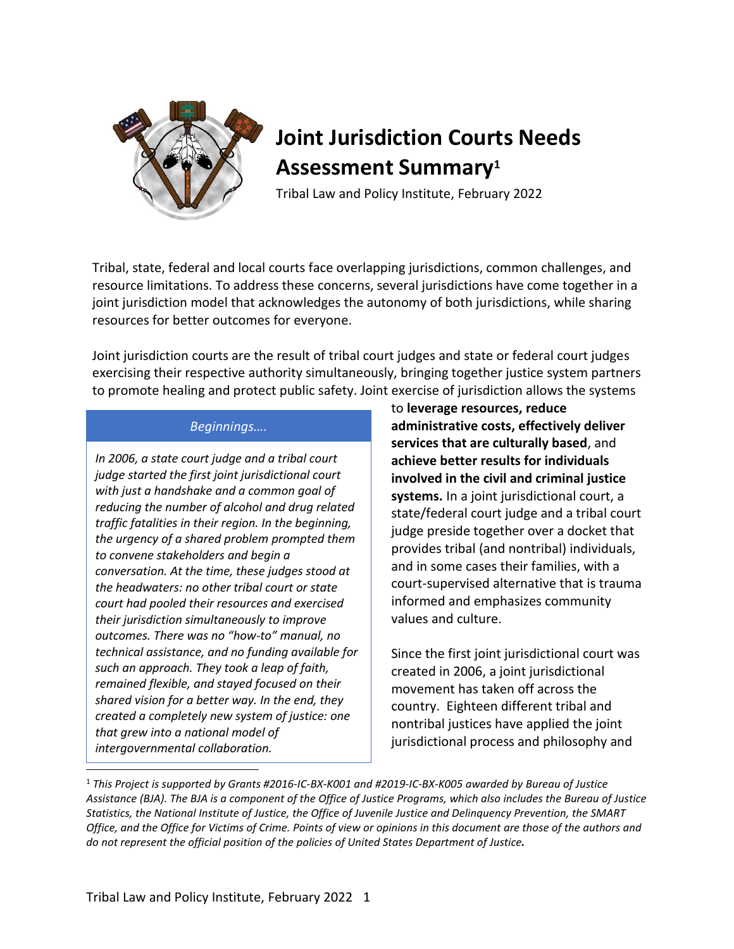

# **Joint Jurisdiction Courts Needs Assessment Summary<sup>1</sup>**

Tribal Law and Policy Institute, February 2022

Tribal, state, federal and local courts face overlapping jurisdictions, common challenges, and resource limitations. To address these concerns, several jurisdictions have come together in a joint jurisdiction model that acknowledges the autonomy of both jurisdictions, while sharing resources for better outcomes for everyone.

Joint jurisdiction courts are the result of tribal court judges and state or federal court judges exercising their respective authority simultaneously, bringing together justice system partners to promote healing and protect public safety. Joint exercise of jurisdiction allows the systems

## *Beginnings….*

*In 2006, a state court judge and a tribal court judge started the first joint jurisdictional court with just a handshake and a common goal of reducing the number of alcohol and drug related traffic fatalities in their region. In the beginning, the urgency of a shared problem prompted them to convene stakeholders and begin a conversation. At the time, these judges stood at the headwaters: no other tribal court or state court had pooled their resources and exercised their jurisdiction simultaneously to improve outcomes. There was no "how-to" manual, no technical assistance, and no funding available for such an approach. They took a leap of faith, remained flexible, and stayed focused on their shared vision for a better way. In the end, they created a completely new system of justice: one that grew into a national model of intergovernmental collaboration.* 

to **leverage resources, reduce administrative costs, effectively deliver services that are culturally based**, and **achieve better results for individuals involved in the civil and criminal justice systems.** In a joint jurisdictional court, a state/federal court judge and a tribal court judge preside together over a docket that provides tribal (and nontribal) individuals, and in some cases their families, with a court-supervised alternative that is trauma informed and emphasizes community values and culture.

Since the first joint jurisdictional court was created in 2006, a joint jurisdictional movement has taken off across the country. Eighteen different tribal and nontribal justices have applied the joint jurisdictional process and philosophy and

<sup>1</sup> *This Project is supported by Grants #2016-IC-BX-K001 and #2019-IC-BX-K005 awarded by Bureau of Justice* Assistance (BJA). The BJA is a component of the Office of Justice Programs, which also includes the Bureau of Justice Statistics, the National Institute of Justice, the Office of Juvenile Justice and Delinquency Prevention, the SMART Office, and the Office for Victims of Crime. Points of view or opinions in this document are those of the authors and *do not represent the official position of the policies of United States Department of Justice.*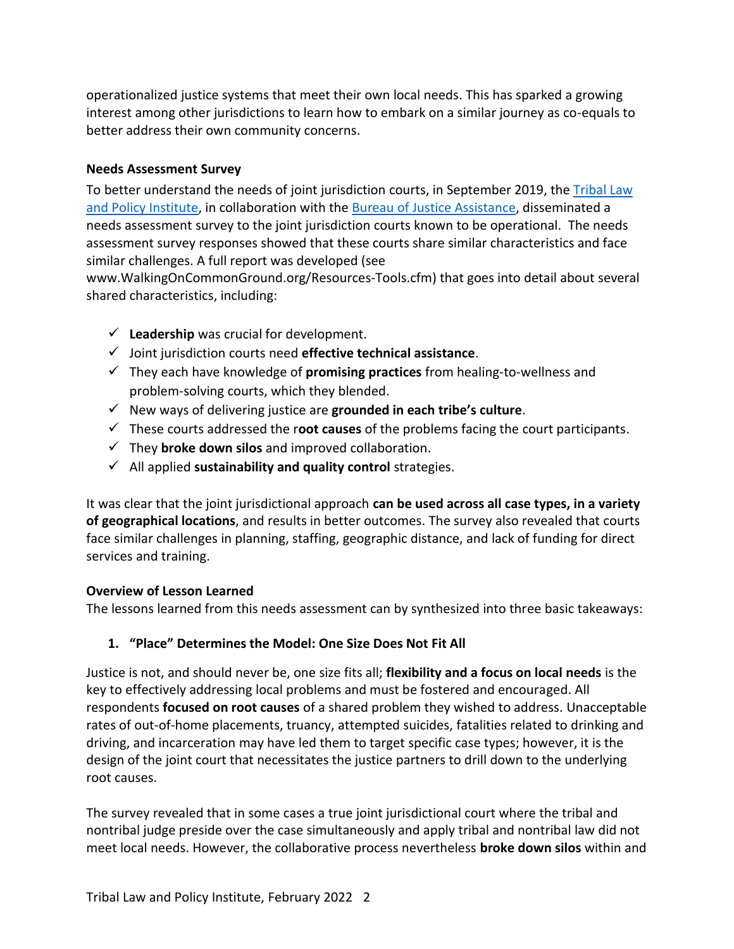operationalized justice systems that meet their own local needs. This has sparked a growing interest among other jurisdictions to learn how to embark on a similar journey as co-equals to better address their own community concerns.

#### **Needs Assessment Survey**

To better understand the needs of joint jurisdiction courts, in September 2019, the Tribal Law [and Policy Institute,](http://home.tlpi.org/) in collaboration with the [Bureau of Justice Assistance,](https://bja.ojp.gov/) disseminated a needs assessment survey to the joint jurisdiction courts known to be operational. The needs assessment survey responses showed that these courts share similar characteristics and face similar challenges. A full report was developed (see

www.WalkingOnCommonGround.org/Resources-Tools.cfm) that goes into detail about several shared characteristics, including:

- $\checkmark$  **Leadership** was crucial for development.
- ✓ Joint jurisdiction courts need **effective technical assistance**.
- ✓ They each have knowledge of **promising practices** from healing-to-wellness and problem-solving courts, which they blended.
- ✓ New ways of delivering justice are **grounded in each tribe's culture**.
- ✓ These courts addressed the r**oot causes** of the problems facing the court participants.
- ✓ They **broke down silos** and improved collaboration.
- ✓ All applied **sustainability and quality control** strategies.

It was clear that the joint jurisdictional approach **can be used across all case types, in a variety of geographical locations**, and results in better outcomes. The survey also revealed that courts face similar challenges in planning, staffing, geographic distance, and lack of funding for direct services and training.

#### **Overview of Lesson Learned**

The lessons learned from this needs assessment can by synthesized into three basic takeaways:

#### **1. "Place" Determines the Model: One Size Does Not Fit All**

Justice is not, and should never be, one size fits all; **flexibility and a focus on local needs** is the key to effectively addressing local problems and must be fostered and encouraged. All respondents **focused on root causes** of a shared problem they wished to address. Unacceptable rates of out-of-home placements, truancy, attempted suicides, fatalities related to drinking and driving, and incarceration may have led them to target specific case types; however, it is the design of the joint court that necessitates the justice partners to drill down to the underlying root causes.

The survey revealed that in some cases a true joint jurisdictional court where the tribal and nontribal judge preside over the case simultaneously and apply tribal and nontribal law did not meet local needs. However, the collaborative process nevertheless **broke down silos** within and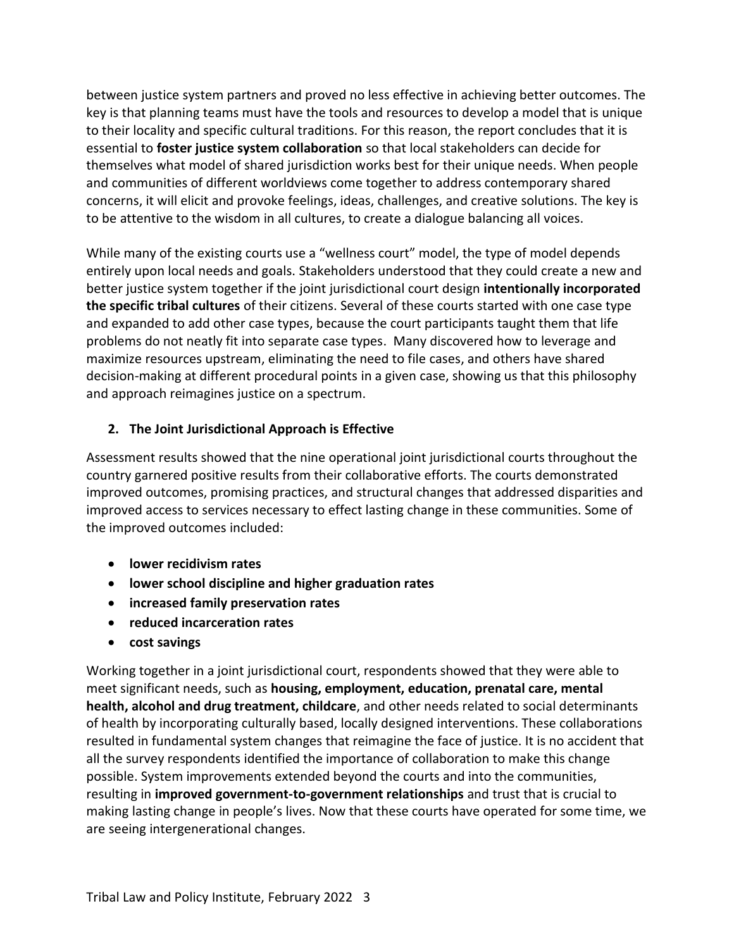between justice system partners and proved no less effective in achieving better outcomes. The key is that planning teams must have the tools and resources to develop a model that is unique to their locality and specific cultural traditions. For this reason, the report concludes that it is essential to **foster justice system collaboration** so that local stakeholders can decide for themselves what model of shared jurisdiction works best for their unique needs. When people and communities of different worldviews come together to address contemporary shared concerns, it will elicit and provoke feelings, ideas, challenges, and creative solutions. The key is to be attentive to the wisdom in all cultures, to create a dialogue balancing all voices.

While many of the existing courts use a "wellness court" model, the type of model depends entirely upon local needs and goals. Stakeholders understood that they could create a new and better justice system together if the joint jurisdictional court design **intentionally incorporated the specific tribal cultures** of their citizens. Several of these courts started with one case type and expanded to add other case types, because the court participants taught them that life problems do not neatly fit into separate case types. Many discovered how to leverage and maximize resources upstream, eliminating the need to file cases, and others have shared decision-making at different procedural points in a given case, showing us that this philosophy and approach reimagines justice on a spectrum.

### **2. The Joint Jurisdictional Approach is Effective**

Assessment results showed that the nine operational joint jurisdictional courts throughout the country garnered positive results from their collaborative efforts. The courts demonstrated improved outcomes, promising practices, and structural changes that addressed disparities and improved access to services necessary to effect lasting change in these communities. Some of the improved outcomes included:

- **lower recidivism rates**
- **lower school discipline and higher graduation rates**
- **increased family preservation rates**
- **reduced incarceration rates**
- **cost savings**

Working together in a joint jurisdictional court, respondents showed that they were able to meet significant needs, such as **housing, employment, education, prenatal care, mental health, alcohol and drug treatment, childcare**, and other needs related to social determinants of health by incorporating culturally based, locally designed interventions. These collaborations resulted in fundamental system changes that reimagine the face of justice. It is no accident that all the survey respondents identified the importance of collaboration to make this change possible. System improvements extended beyond the courts and into the communities, resulting in **improved government-to-government relationships** and trust that is crucial to making lasting change in people's lives. Now that these courts have operated for some time, we are seeing intergenerational changes.